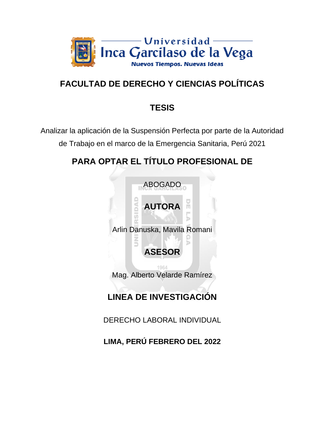

# **FACULTAD DE DERECHO Y CIENCIAS POLÍTICAS**

## **TESIS**

Analizar la aplicación de la Suspensión Perfecta por parte de la Autoridad de Trabajo en el marco de la Emergencia Sanitaria, Perú 2021

# **PARA OPTAR EL TÍTULO PROFESIONAL DE**



# **LINEA DE INVESTIGACIÓN**

DERECHO LABORAL INDIVIDUAL

**LIMA, PERÚ FEBRERO DEL 2022**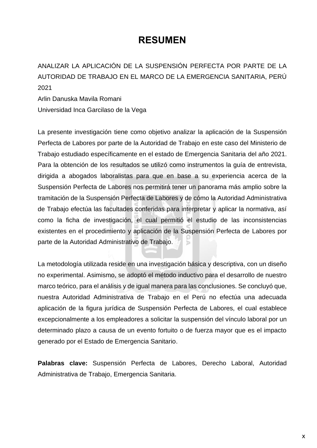## **RESUMEN**

ANALIZAR LA APLICACIÓN DE LA SUSPENSIÓN PERFECTA POR PARTE DE LA AUTORIDAD DE TRABAJO EN EL MARCO DE LA EMERGENCIA SANITARIA, PERÚ 2021

Arlin Danuska Mavila Romani Universidad Inca Garcilaso de la Vega

La presente investigación tiene como objetivo analizar la aplicación de la Suspensión Perfecta de Labores por parte de la Autoridad de Trabajo en este caso del Ministerio de Trabajo estudiado específicamente en el estado de Emergencia Sanitaria del año 2021. Para la obtención de los resultados se utilizó como instrumentos la guía de entrevista, dirigida a abogados laboralistas para que en base a su experiencia acerca de la Suspensión Perfecta de Labores nos permitirá tener un panorama más amplio sobre la tramitación de la Suspensión Perfecta de Labores y de cómo la Autoridad Administrativa de Trabajo efectúa las facultades conferidas para interpretar y aplicar la normativa, así como la ficha de investigación, el cual permitió el estudio de las inconsistencias existentes en el procedimiento y aplicación de la Suspensión Perfecta de Labores por parte de la Autoridad Administrativo de Trabajo.  $\geq$ 

La metodología utilizada reside en una investigación básica y descriptiva, con un diseño no experimental. Asimismo, se adoptó el método inductivo para el desarrollo de nuestro marco teórico, para el análisis y de igual manera para las conclusiones. Se concluyó que, nuestra Autoridad Administrativa de Trabajo en el Perú no efectúa una adecuada aplicación de la figura jurídica de Suspensión Perfecta de Labores, el cual establece excepcionalmente a los empleadores a solicitar la suspensión del vínculo laboral por un determinado plazo a causa de un evento fortuito o de fuerza mayor que es el impacto generado por el Estado de Emergencia Sanitario.

**Palabras clave:** Suspensión Perfecta de Labores, Derecho Laboral, Autoridad Administrativa de Trabajo, Emergencia Sanitaria.